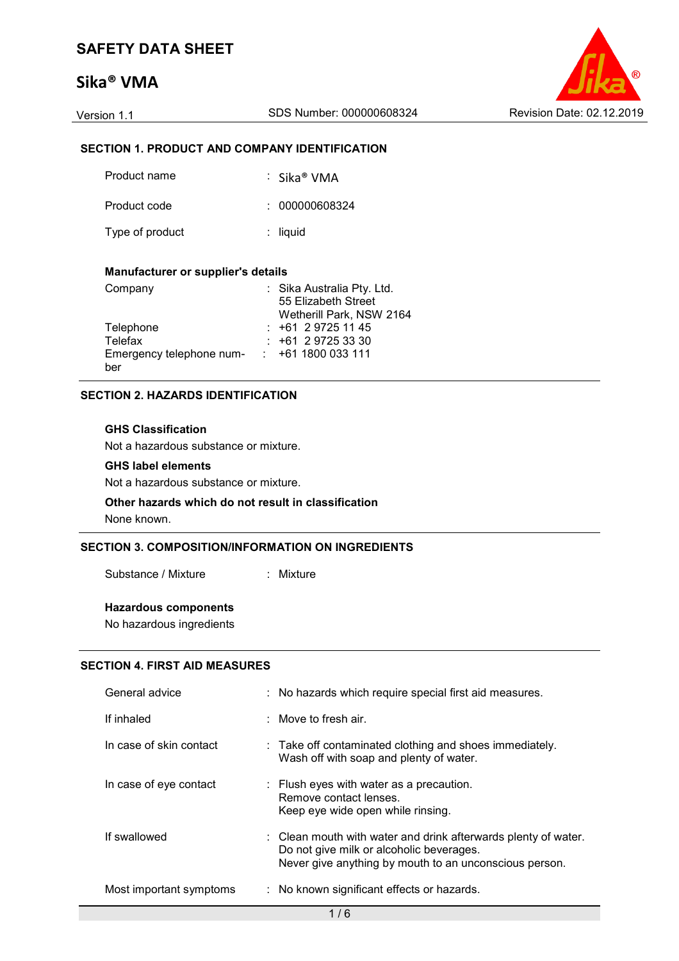# **Sika® VMA**



### **SECTION 1. PRODUCT AND COMPANY IDENTIFICATION**

| Product name    | ∶ Sika® VMA    |
|-----------------|----------------|
| Product code    | : 000000608324 |
| Type of product | $:$ liquid     |

#### **Manufacturer or supplier's details**

| Company                  | : Sika Australia Pty. Ltd. |
|--------------------------|----------------------------|
|                          | 55 Elizabeth Street        |
|                          | Wetherill Park, NSW 2164   |
| Telephone                | $: +61297251145$           |
| Telefax                  | $: +61297253330$           |
| Emergency telephone num- | $: +611800033111$          |
| ber                      |                            |

#### **SECTION 2. HAZARDS IDENTIFICATION**

#### **GHS Classification**

Not a hazardous substance or mixture.

#### **GHS label elements**

Not a hazardous substance or mixture.

#### **Other hazards which do not result in classification** None known.

## **SECTION 3. COMPOSITION/INFORMATION ON INGREDIENTS**

Substance / Mixture : Mixture

#### **Hazardous components**

No hazardous ingredients

#### **SECTION 4. FIRST AID MEASURES**

| General advice          | : No hazards which require special first aid measures.                                                                                                               |
|-------------------------|----------------------------------------------------------------------------------------------------------------------------------------------------------------------|
| If inhaled              | $\therefore$ Move to fresh air.                                                                                                                                      |
| In case of skin contact | $\therefore$ Take off contaminated clothing and shoes immediately.<br>Wash off with soap and plenty of water.                                                        |
| In case of eye contact  | : Flush eyes with water as a precaution.<br>Remove contact lenses.<br>Keep eye wide open while rinsing.                                                              |
| If swallowed            | : Clean mouth with water and drink afterwards plenty of water.<br>Do not give milk or alcoholic beverages.<br>Never give anything by mouth to an unconscious person. |
| Most important symptoms | : No known significant effects or hazards.                                                                                                                           |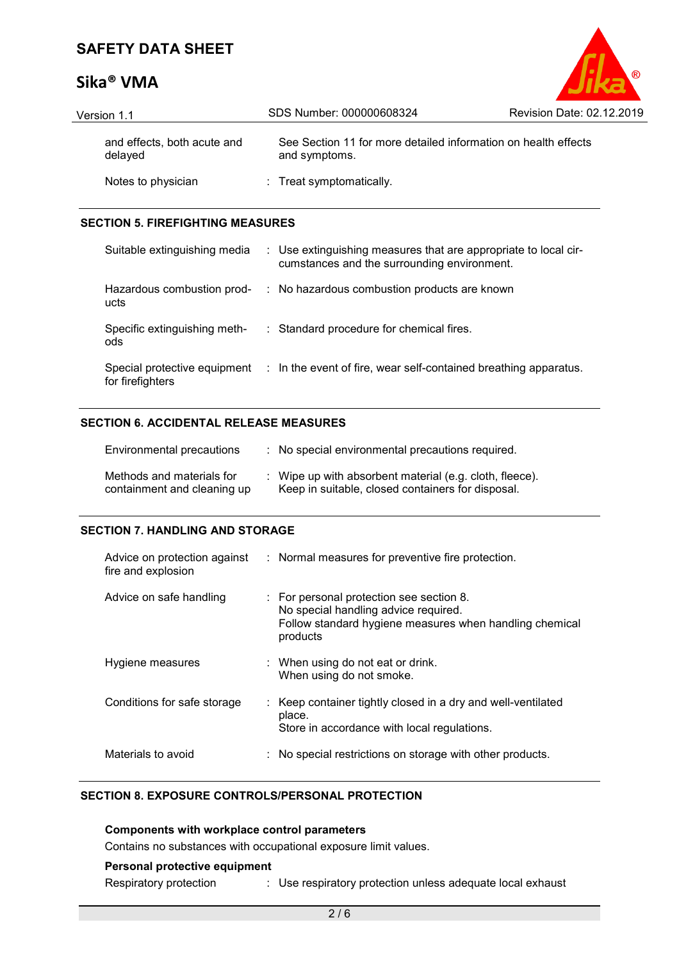# **Sika® VMA**

| Version 1.1                            | SDS Number: 000000608324                                                        | Revision Date: 02.12.2019 |
|----------------------------------------|---------------------------------------------------------------------------------|---------------------------|
| and effects, both acute and<br>delayed | See Section 11 for more detailed information on health effects<br>and symptoms. |                           |
| Notes to physician                     | : Treat symptomatically.                                                        |                           |

 $^{\circ}$ 

#### **SECTION 5. FIREFIGHTING MEASURES**

| Suitable extinguishing media        | : Use extinguishing measures that are appropriate to local cir-<br>cumstances and the surrounding environment. |
|-------------------------------------|----------------------------------------------------------------------------------------------------------------|
| Hazardous combustion prod-<br>ucts  | : No hazardous combustion products are known                                                                   |
| Specific extinguishing meth-<br>ods | : Standard procedure for chemical fires.                                                                       |
| for firefighters                    | Special protective equipment : In the event of fire, wear self-contained breathing apparatus.                  |

#### **SECTION 6. ACCIDENTAL RELEASE MEASURES**

| Environmental precautions                                | : No special environmental precautions required.                                                             |
|----------------------------------------------------------|--------------------------------------------------------------------------------------------------------------|
| Methods and materials for<br>containment and cleaning up | : Wipe up with absorbent material (e.g. cloth, fleece).<br>Keep in suitable, closed containers for disposal. |

#### **SECTION 7. HANDLING AND STORAGE**

| Advice on protection against<br>fire and explosion | : Normal measures for preventive fire protection.                                                                                                                  |
|----------------------------------------------------|--------------------------------------------------------------------------------------------------------------------------------------------------------------------|
| Advice on safe handling                            | $\therefore$ For personal protection see section 8.<br>No special handling advice required.<br>Follow standard hygiene measures when handling chemical<br>products |
| Hygiene measures                                   | $\therefore$ When using do not eat or drink.<br>When using do not smoke.                                                                                           |
| Conditions for safe storage                        | : Keep container tightly closed in a dry and well-ventilated<br>place.<br>Store in accordance with local regulations.                                              |
| Materials to avoid                                 | No special restrictions on storage with other products.                                                                                                            |

### **SECTION 8. EXPOSURE CONTROLS/PERSONAL PROTECTION**

**Components with workplace control parameters** Contains no substances with occupational exposure limit values. **Personal protective equipment**

Respiratory protection : Use respiratory protection unless adequate local exhaust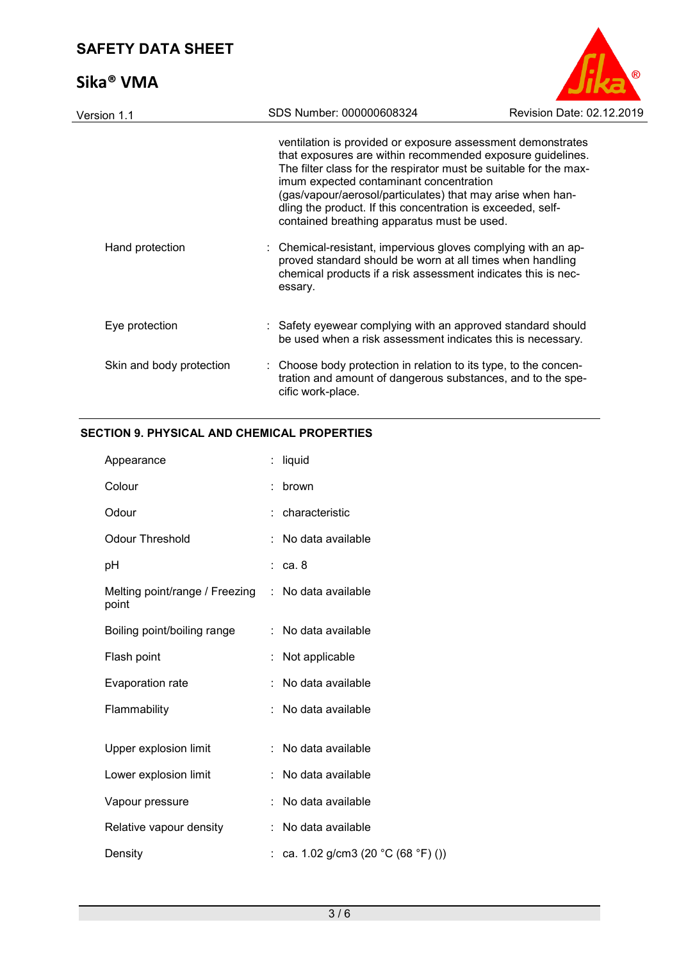# **Sika® VMA**



| SDS Number: 000000608324                                                                          | Revision Date: 02.12.2019                                                                                                                                                                                                                                                                                                                                                                                                                                                                                                  |
|---------------------------------------------------------------------------------------------------|----------------------------------------------------------------------------------------------------------------------------------------------------------------------------------------------------------------------------------------------------------------------------------------------------------------------------------------------------------------------------------------------------------------------------------------------------------------------------------------------------------------------------|
| imum expected contaminant concentration<br>contained breathing apparatus must be used.<br>essary. | ventilation is provided or exposure assessment demonstrates<br>that exposures are within recommended exposure guidelines.<br>The filter class for the respirator must be suitable for the max-<br>(gas/vapour/aerosol/particulates) that may arise when han-<br>dling the product. If this concentration is exceeded, self-<br>: Chemical-resistant, impervious gloves complying with an ap-<br>proved standard should be worn at all times when handling<br>chemical products if a risk assessment indicates this is nec- |
|                                                                                                   | : Safety eyewear complying with an approved standard should<br>be used when a risk assessment indicates this is necessary.                                                                                                                                                                                                                                                                                                                                                                                                 |
| cific work-place.                                                                                 | : Choose body protection in relation to its type, to the concen-<br>tration and amount of dangerous substances, and to the spe-                                                                                                                                                                                                                                                                                                                                                                                            |
|                                                                                                   |                                                                                                                                                                                                                                                                                                                                                                                                                                                                                                                            |

## **SECTION 9. PHYSICAL AND CHEMICAL PROPERTIES**

| Appearance                              |    | liquid                              |
|-----------------------------------------|----|-------------------------------------|
| Colour                                  |    | brown                               |
| Odour                                   |    | : characteristic                    |
| <b>Odour Threshold</b>                  |    | No data available                   |
| рH                                      |    | : ca. 8                             |
| Melting point/range / Freezing<br>point | ÷. | No data available                   |
| Boiling point/boiling range             |    | : No data available                 |
| Flash point                             |    | Not applicable                      |
| Evaporation rate                        |    | No data available                   |
| Flammability                            |    | No data available                   |
|                                         |    |                                     |
| Upper explosion limit                   |    | No data available                   |
| Lower explosion limit                   |    | No data available                   |
| Vapour pressure                         |    | No data available                   |
| Relative vapour density                 |    | No data available                   |
| Density                                 |    | : ca. 1.02 g/cm3 (20 °C (68 °F) ()) |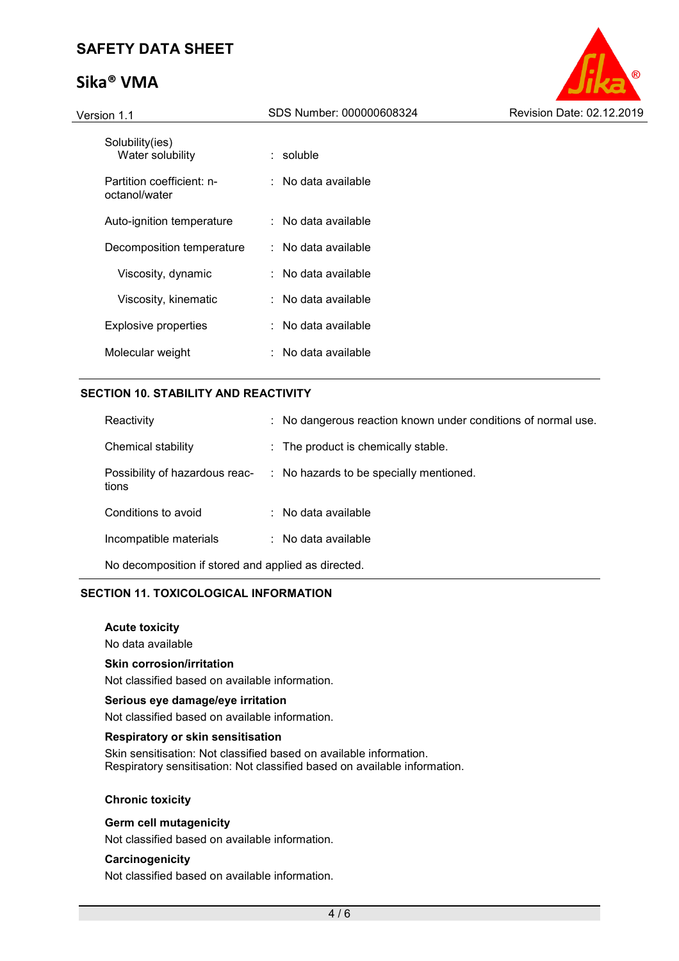# **Sika® VMA**



| Solubility(ies)<br>Water solubility        | : soluble           |
|--------------------------------------------|---------------------|
| Partition coefficient: n-<br>octanol/water | ∶ No data available |
| Auto-ignition temperature                  | ∶ No data available |
| Decomposition temperature                  | ∶ No data available |
| Viscosity, dynamic                         | ∶ No data available |
| Viscosity, kinematic                       | ∶ No data available |
| Explosive properties                       | ∶ No data available |
| Molecular weight                           | ∶ No data available |

#### **SECTION 10. STABILITY AND REACTIVITY**

| Reactivity                                          | : No dangerous reaction known under conditions of normal use. |  |  |  |
|-----------------------------------------------------|---------------------------------------------------------------|--|--|--|
| Chemical stability                                  | $\therefore$ The product is chemically stable.                |  |  |  |
| Possibility of hazardous reac-<br>tions             | : No hazards to be specially mentioned.                       |  |  |  |
| Conditions to avoid                                 | $\therefore$ No data available                                |  |  |  |
| Incompatible materials                              | $\therefore$ No data available                                |  |  |  |
| No decomposition if stored and applied as directed. |                                                               |  |  |  |

#### **SECTION 11. TOXICOLOGICAL INFORMATION**

#### **Acute toxicity**

No data available

#### **Skin corrosion/irritation**

Not classified based on available information.

#### **Serious eye damage/eye irritation**

Not classified based on available information.

#### **Respiratory or skin sensitisation**

Skin sensitisation: Not classified based on available information. Respiratory sensitisation: Not classified based on available information.

#### **Chronic toxicity**

#### **Germ cell mutagenicity**

Not classified based on available information.

#### **Carcinogenicity**

Not classified based on available information.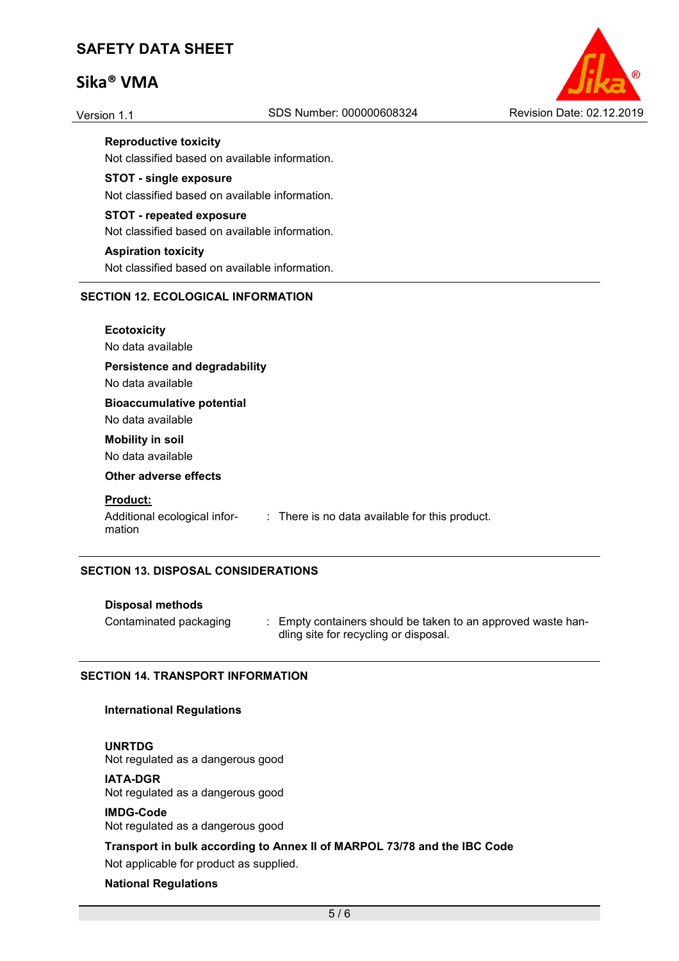# **Sika® VMA**



**Reproductive toxicity** 

Not classified based on available information.

**STOT - single exposure** 

Not classified based on available information.

**STOT - repeated exposure**  Not classified based on available information.

#### **Aspiration toxicity**

Not classified based on available information.

#### **SECTION 12. ECOLOGICAL INFORMATION**

**Ecotoxicity**  No data available **Persistence and degradability**  No data available **Bioaccumulative potential** 

No data available

# **Mobility in soil**

No data available

#### **Other adverse effects**

#### **Product:**

mation

Additional ecological infor-: There is no data available for this product.

#### **SECTION 13. DISPOSAL CONSIDERATIONS**

#### **Disposal methods**

- 
- Contaminated packaging : Empty containers should be taken to an approved waste handling site for recycling or disposal.

#### **SECTION 14. TRANSPORT INFORMATION**

#### **International Regulations**

#### **UNRTDG**

Not regulated as a dangerous good

#### **IATA-DGR**

Not regulated as a dangerous good

#### **IMDG-Code**

Not regulated as a dangerous good

#### **Transport in bulk according to Annex II of MARPOL 73/78 and the IBC Code**

Not applicable for product as supplied.

#### **National Regulations**